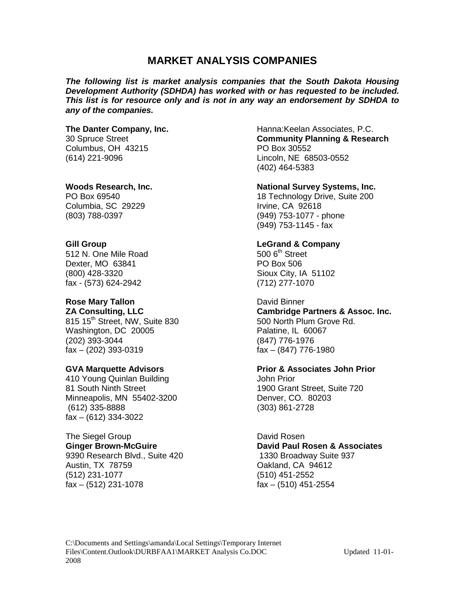### **MARKET ANALYSIS COMPANIES**

*The following list is market analysis companies that the South Dakota Housing Development Authority (SDHDA) has worked with or has requested to be included. This list is for resource only and is not in any way an endorsement by SDHDA to any of the companies.*

Columbus, OH 43215 PO Box 30552

Columbia, SC 29229 Irvine, CA 92618

**Gill Group**<br>
512 N. One Mile Road<br>
500 6<sup>th</sup> Street 512 N. One Mile Road 500 6th Street 500 6th Street 500 6th Street 500 6th Street 500 6th Street 500 6th Street<br>Dexter. MO 63841 Dexter, MO 63841 (800) 428-3320 Sioux City, IA 51102 fax - (573) 624-2942 (712) 277-1070

815 15<sup>th</sup> Street, NW, Suite 830 500 North Plum Grove Rd. Washington, DC 20005 Palatine, IL 60067 (202) 393-3044 (847) 776-1976 fax – (202) 393-0319 fax – (847) 776-1980

410 Young Quinlan Building John Prior 81 South Ninth Street 1900 Grant Street, Suite 720 Minneapolis, MN 55402-3200 Denver, CO. 80203 (612) 335-8888 (303) 861-2728 fax – (612) 334-3022

# The Siegel Group David Rosen

Austin, TX 78759 Oakland, CA 94612 (512) 231-1077 (510) 451-2552 fax – (512) 231-1078 fax – (510) 451-2554

### **The Danter Company, Inc. Hanna:Keelan Associates, P.C.** 30 Spruce Street **Community Planning & Research** (614) 221-9096 Lincoln, NE 68503-0552 (402) 464-5383

### **Woods Research, Inc. National Survey Systems, Inc.**

PO Box 69540 **18 Technology Drive, Suite 200** (803) 788-0397 (949) 753-1077 - phone (949) 753-1145 - fax

**Rose Mary Tallon**<br> **ZA Consulting, LLC**<br> **Cambridge Formulation Cambridge Formulation Cambridge Formulation Cambridge Formulation Cambridge Formulation Cambridge Formulation Cambridge Formulation Cambridge Formulation Cam Cambridge Partners & Assoc. Inc.** 

### **GVA Marquette Advisors Prior & Associates John Prior**

**Ginger Brown-McGuire David Paul Rosen & Associates** 9390 Research Blvd., Suite 420 1330 Broadway Suite 937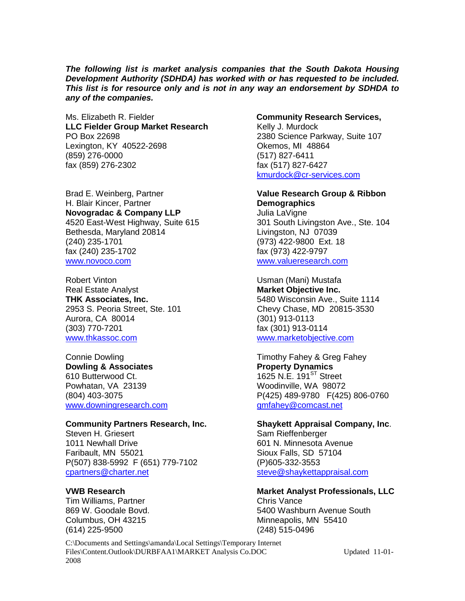*The following list is market analysis companies that the South Dakota Housing Development Authority (SDHDA) has worked with or has requested to be included. This list is for resource only and is not in any way an endorsement by SDHDA to any of the companies.*

Ms. Elizabeth R. Fielder **Community Research Services, LLC** Fielder Group Market Research Kelly J. Murdock PO Box 22698<br>
Lexington, KY 40522-2698<br>
Lexington, KY 40522-2698<br>
2380 Science Parkway, Suite 107 Lexington, KY 40522-2698 Okemos, MI 48864 (859) 276-0000 fax (859) 276-2302 fax (517) 827-6427

Brad E. Weinberg, Partner **Value Research Group & Ribbon**  H. Blair Kincer, Partner<br> **Novogradac & Company LLP**<br>
Julia LaVigne **Novogradac & Company LLP**<br>4520 East-West Highway, Suite 615 Bethesda, Maryland 20814 Livingston, NJ 07039 (240) 235-1701 (973) 422-9800 Ext. 18 fax (240) 235-1702 fax (973) 422-9797 [www.novoco.com](http://www.novoco.com/) [www.valueresearch.com](http://www.valueresearch.com/)

Robert Vinton<br>
Real Estate Analyst<br>
Real Estate Analyst<br>
Compared Analyst<br>
Compared Analyst<br>
Compared Analyst<br>
Compared Analyst<br>
Compared Analyst<br>
Compared Analyst<br>
Compared Analyst<br>
Compared Analyst<br>
Compared Analyst<br>
Com Real Estate Analyst **Narket Objective Inc.**<br>
THK Associates, Inc. **Market Objective Inc.**<br>
5480 Wisconsin Ave., S Aurora, CA 80014 (301) 913-0113 (303) 770-7201 fax (301) 913-0114 [www.thkassoc.com](http://www.thkassoc.com/) [www.marketobjective.com](http://www.marketobjective.com/)

**Dowling & Associates**<br>
610 Butterwood Ct. **Property Dynamics**<br>
1625 N.E. 191<sup>ST</sup> Stre Powhatan, VA 23139 Woodinville, WA 98072 [www.downingresearch.com](http://www.downingresearch.com/) [gmfahey@comcast.net](mailto:gmfahey@comcast.net)

1011 Newhall Drive 601 N. Minnesota Avenue Faribault, MN 55021 Sioux Falls, SD 57104 P(507) 838-5992 F (651) 779-7102 (P)605-332-3553 [cpartners@charter.net](mailto:cpartners@charter.net) [steve@shaykettappraisal.com](mailto:steve@shaykettappraisal.com)

Tim Williams, Partner<br>869 W. Goodale Bovd. (614) 225-9500 (248) 515-0496

[kmurdock@cr-services.com](mailto:kmurdock@cr-services.com)

301 South Livingston Ave., Ste. 104

**THK Associates, Inc.** 5480 Wisconsin Ave., Suite 1114<br>
2953 S. Peoria Street, Ste. 101 Chevy Chase, MD 20815-3530 Chevy Chase, MD 20815-3530

Connie Dowling Timothy Fahey & Greg Fahey 1625 N.E. 191 $\mathrm{^{ST}}$  Street (804) 403-3075 P(425) 489-9780 F(425) 806-0760

### **Community Partners Research, Inc. Shaykett Appraisal Company, Inc.** Steven H. Griesert **Steven H. Griesert** Sam Rieffenberger

## **VWB Research <br>
Tim Williams. Partner <br>
Chris Vance Chris Analyst Professionals, LLC**

5400 Washburn Avenue South Columbus, OH 43215 Minneapolis, MN 55410

C:\Documents and Settings\amanda\Local Settings\Temporary Internet Files\Content.Outlook\DURBFAA1\MARKET Analysis Co.DOC Updated 11-01-2008